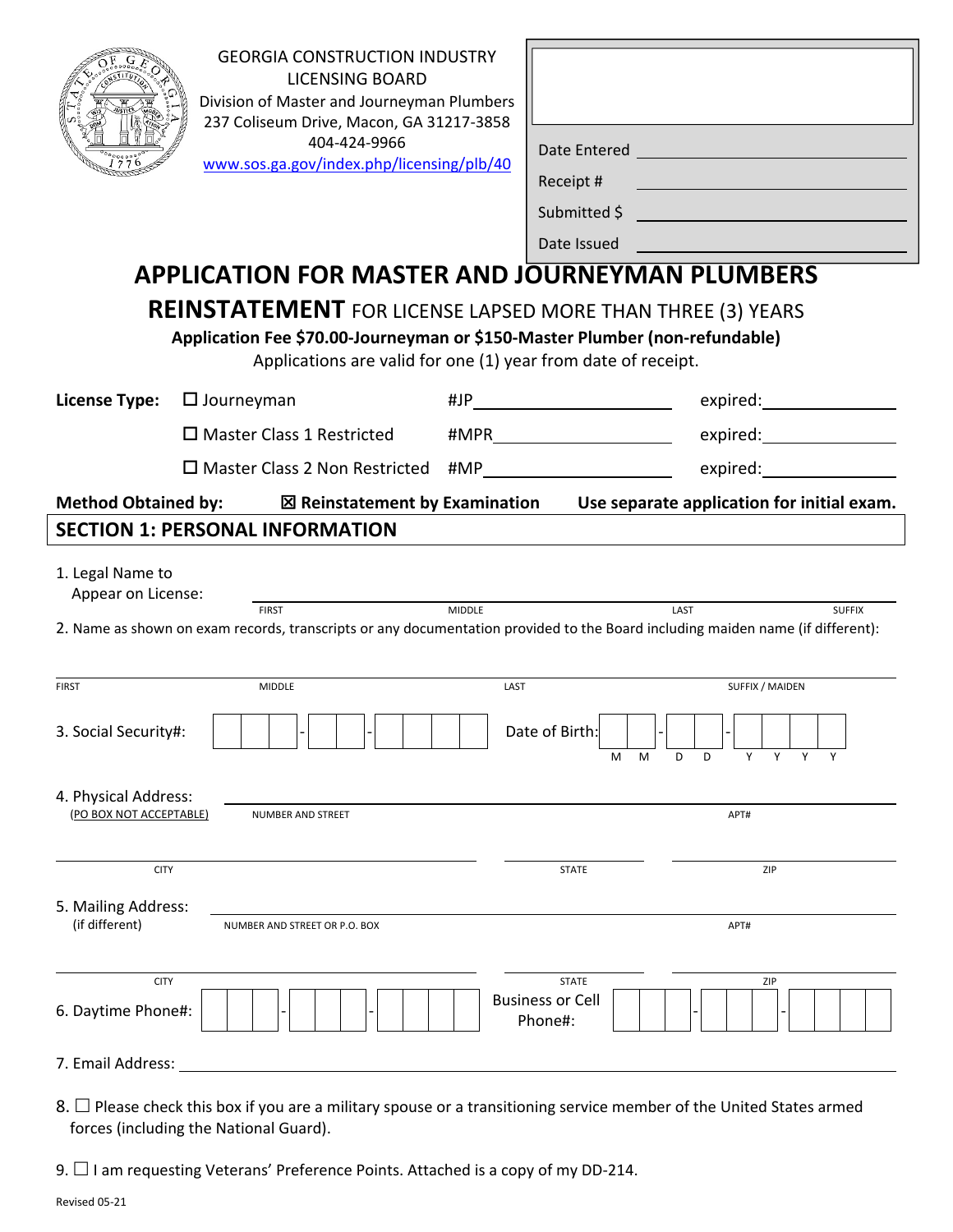|                                                                                                                                                                                                                                                                           | <b>GEORGIA CONSTRUCTION INDUSTRY</b><br><b>LICENSING BOARD</b><br>Division of Master and Journeyman Plumbers<br>237 Coliseum Drive, Macon, GA 31217-3858<br>404-424-9966<br>www.sos.ga.gov | Date Entered<br>Receipt #               | <u> 1980 - Johann Barn, mars ann an t-A</u><br><u> 1989 - Johann Barn, mars eta bat erroman erroman erroman erroman erroman erroman erroman erroman erroman err</u> |               |  |  |
|---------------------------------------------------------------------------------------------------------------------------------------------------------------------------------------------------------------------------------------------------------------------------|--------------------------------------------------------------------------------------------------------------------------------------------------------------------------------------------|-----------------------------------------|---------------------------------------------------------------------------------------------------------------------------------------------------------------------|---------------|--|--|
|                                                                                                                                                                                                                                                                           | <b>MASTER AND JOURNEYMAN PLUMBERS</b>                                                                                                                                                      |                                         | Submitted \$                                                                                                                                                        |               |  |  |
| <b>INITIAL APPLICATION or</b>                                                                                                                                                                                                                                             |                                                                                                                                                                                            | Date Issued                             |                                                                                                                                                                     |               |  |  |
| REINSTATEMENT APPLICATION for license lasped more than 3 years                                                                                                                                                                                                            |                                                                                                                                                                                            |                                         |                                                                                                                                                                     |               |  |  |
| plication Fee \$70.00-Journeyman or \$150-Master Plumber (non-refundable)<br>Applications are subject to be administratively withdrawn if any deficiencies are not<br>submitted within 60 days of notice of said deficiencies.<br>I am applying for<br>this License Type: |                                                                                                                                                                                            |                                         |                                                                                                                                                                     |               |  |  |
| Journeyman                                                                                                                                                                                                                                                                | Master Plumber Class 1 Restricted                                                                                                                                                          |                                         | <b>Master Plumber Class 2 Non-restricted</b><br>$\Box$ Initial License                                                                                              |               |  |  |
| <b>Initial License</b><br>Reinstatement of JP#                                                                                                                                                                                                                            | $\Box$ Initial License<br>$\Box$ Reinstatement of MP#                                                                                                                                      |                                         | □ Reinstatement of MP# _____                                                                                                                                        |               |  |  |
|                                                                                                                                                                                                                                                                           |                                                                                                                                                                                            |                                         | #MPR                                                                                                                                                                |               |  |  |
|                                                                                                                                                                                                                                                                           |                                                                                                                                                                                            |                                         |                                                                                                                                                                     |               |  |  |
| <b>SECTION 1: PERSONAL INFORMATION</b>                                                                                                                                                                                                                                    |                                                                                                                                                                                            |                                         |                                                                                                                                                                     |               |  |  |
| 1. Legal Name to                                                                                                                                                                                                                                                          |                                                                                                                                                                                            |                                         |                                                                                                                                                                     |               |  |  |
| Appear on License:                                                                                                                                                                                                                                                        | <b>MIDDLE</b><br><b>FIRST</b>                                                                                                                                                              |                                         | LAST                                                                                                                                                                | <b>SUFFIX</b> |  |  |
|                                                                                                                                                                                                                                                                           | 2. Name as shown on exam records, transcripts or any documentation provided to the Board including maiden name (if different):                                                             |                                         |                                                                                                                                                                     |               |  |  |
|                                                                                                                                                                                                                                                                           |                                                                                                                                                                                            |                                         |                                                                                                                                                                     |               |  |  |
| <b>FIRST</b>                                                                                                                                                                                                                                                              | <b>MIDDLE</b>                                                                                                                                                                              | LAST                                    | SUFFIX / MAIDEN                                                                                                                                                     |               |  |  |
| 3. Social Security#:                                                                                                                                                                                                                                                      |                                                                                                                                                                                            | Date of Birth:                          |                                                                                                                                                                     |               |  |  |
|                                                                                                                                                                                                                                                                           |                                                                                                                                                                                            | м                                       | Y<br>M<br>D<br>D<br>Y                                                                                                                                               |               |  |  |
| 4. Physical Address:                                                                                                                                                                                                                                                      |                                                                                                                                                                                            |                                         |                                                                                                                                                                     |               |  |  |
| (PO BOX NOT ACCEPTABLE)                                                                                                                                                                                                                                                   | <b>NUMBER AND STREET</b>                                                                                                                                                                   |                                         | APT#                                                                                                                                                                |               |  |  |
| <b>CITY</b>                                                                                                                                                                                                                                                               |                                                                                                                                                                                            | <b>STATE</b>                            | ZIP                                                                                                                                                                 |               |  |  |
| 5. Mailing Address:                                                                                                                                                                                                                                                       |                                                                                                                                                                                            |                                         |                                                                                                                                                                     |               |  |  |
| (if different)                                                                                                                                                                                                                                                            | NUMBER AND STREET OR P.O. BOX                                                                                                                                                              |                                         | APT#                                                                                                                                                                |               |  |  |
|                                                                                                                                                                                                                                                                           |                                                                                                                                                                                            |                                         |                                                                                                                                                                     |               |  |  |
| <b>CITY</b>                                                                                                                                                                                                                                                               |                                                                                                                                                                                            | <b>STATE</b><br><b>Business or Cell</b> | ZIP                                                                                                                                                                 |               |  |  |
| 6. Daytime Phone#:                                                                                                                                                                                                                                                        |                                                                                                                                                                                            | Phone#:                                 |                                                                                                                                                                     |               |  |  |
| 7. Email Address:                                                                                                                                                                                                                                                         |                                                                                                                                                                                            |                                         |                                                                                                                                                                     |               |  |  |
|                                                                                                                                                                                                                                                                           | 8. $\Box$ Please check this box if you are a military spouse or a transitioning service member of the United States armed                                                                  |                                         |                                                                                                                                                                     |               |  |  |

forces (including the National Guard).

9.  $\Box$  I am requesting Veterans' Preference Points. Attached is a copy of my DD-214.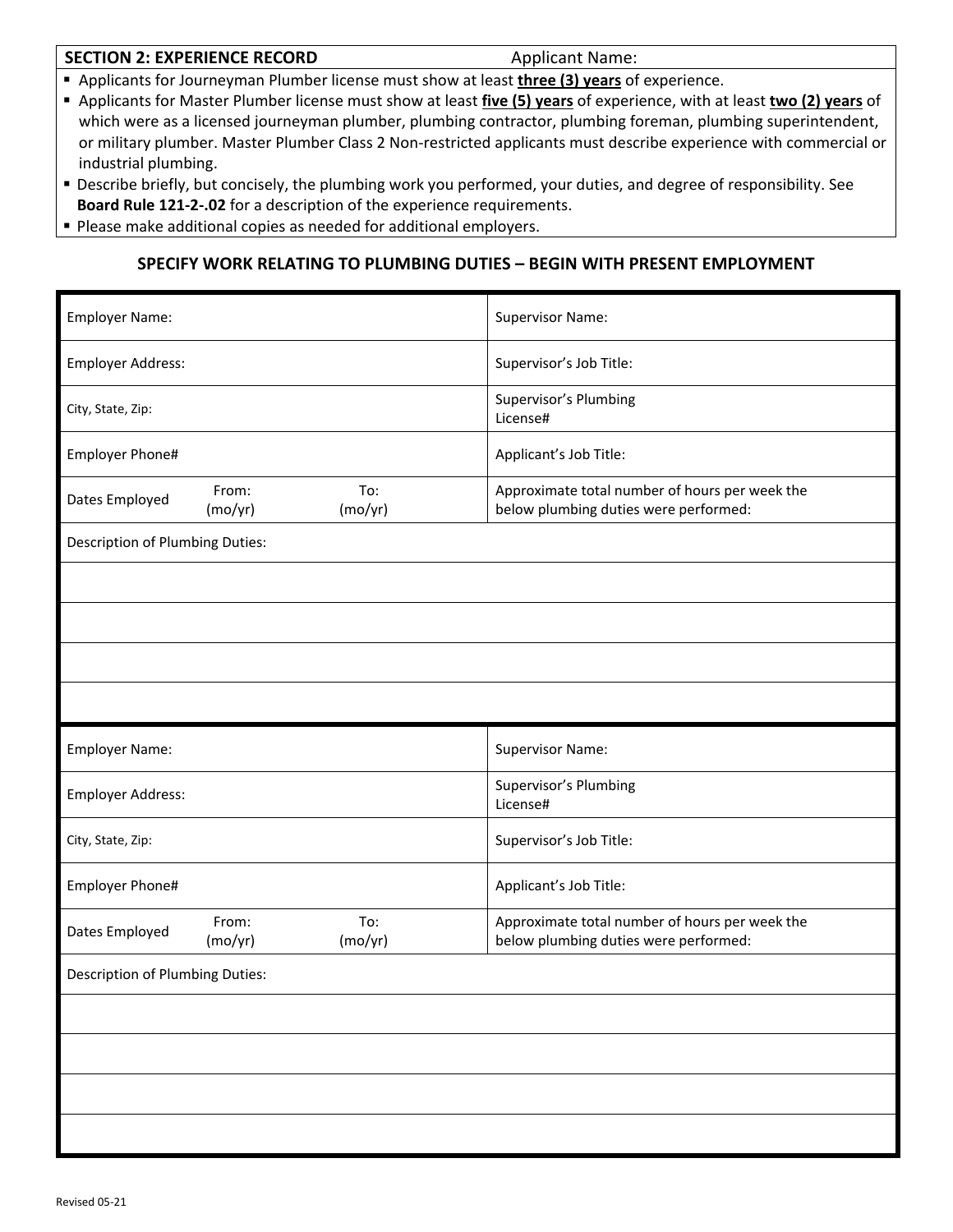#### **SECTION 2: EXPERIENCE RECORD** *Applicant Name:*

Applicants for Journeyman Plumber license must show at least **three (3) years** of experience.

- Applicants for Master Plumber license must show at least **five (5) years** of experience, with at least **two (2) years** of which were as a licensed journeyman plumber, plumbing contractor, plumbing foreman, plumbing superintendent, or military plumber. Master Plumber Class 2 Non‐restricted applicants must describe experience with commercial or industrial plumbing.
- Describe briefly, but concisely, the plumbing work you performed, your duties, and degree of responsibility. See **Board Rule 121‐2‐.02** for a description of the experience requirements.
- **Please make additional copies as needed for additional employers.**

# **SPECIFY WORK RELATING TO PLUMBING DUTIES – BEGIN WITH PRESENT EMPLOYMENT**

| Employer Name:                         |                                    | <b>Supervisor Name:</b>                                                                 |  |  |
|----------------------------------------|------------------------------------|-----------------------------------------------------------------------------------------|--|--|
| <b>Employer Address:</b>               |                                    | Supervisor's Job Title:                                                                 |  |  |
| City, State, Zip:                      |                                    | Supervisor's Plumbing<br>License#                                                       |  |  |
| Employer Phone#                        |                                    | Applicant's Job Title:                                                                  |  |  |
| Dates Employed                         | From:<br>To:<br>(mo/yr)<br>(mo/yr) | Approximate total number of hours per week the<br>below plumbing duties were performed: |  |  |
| Description of Plumbing Duties:        |                                    |                                                                                         |  |  |
|                                        |                                    |                                                                                         |  |  |
|                                        |                                    |                                                                                         |  |  |
|                                        |                                    |                                                                                         |  |  |
|                                        |                                    |                                                                                         |  |  |
|                                        |                                    |                                                                                         |  |  |
| <b>Employer Name:</b>                  |                                    | <b>Supervisor Name:</b>                                                                 |  |  |
| Employer Address:                      |                                    | Supervisor's Plumbing<br>License#                                                       |  |  |
| City, State, Zip:                      |                                    | Supervisor's Job Title:                                                                 |  |  |
| Employer Phone#                        |                                    | Applicant's Job Title:                                                                  |  |  |
| Dates Employed                         | To:<br>From:<br>(mo/yr)<br>(mo/yr) | Approximate total number of hours per week the<br>below plumbing duties were performed: |  |  |
| <b>Description of Plumbing Duties:</b> |                                    |                                                                                         |  |  |
|                                        |                                    |                                                                                         |  |  |
|                                        |                                    |                                                                                         |  |  |
|                                        |                                    |                                                                                         |  |  |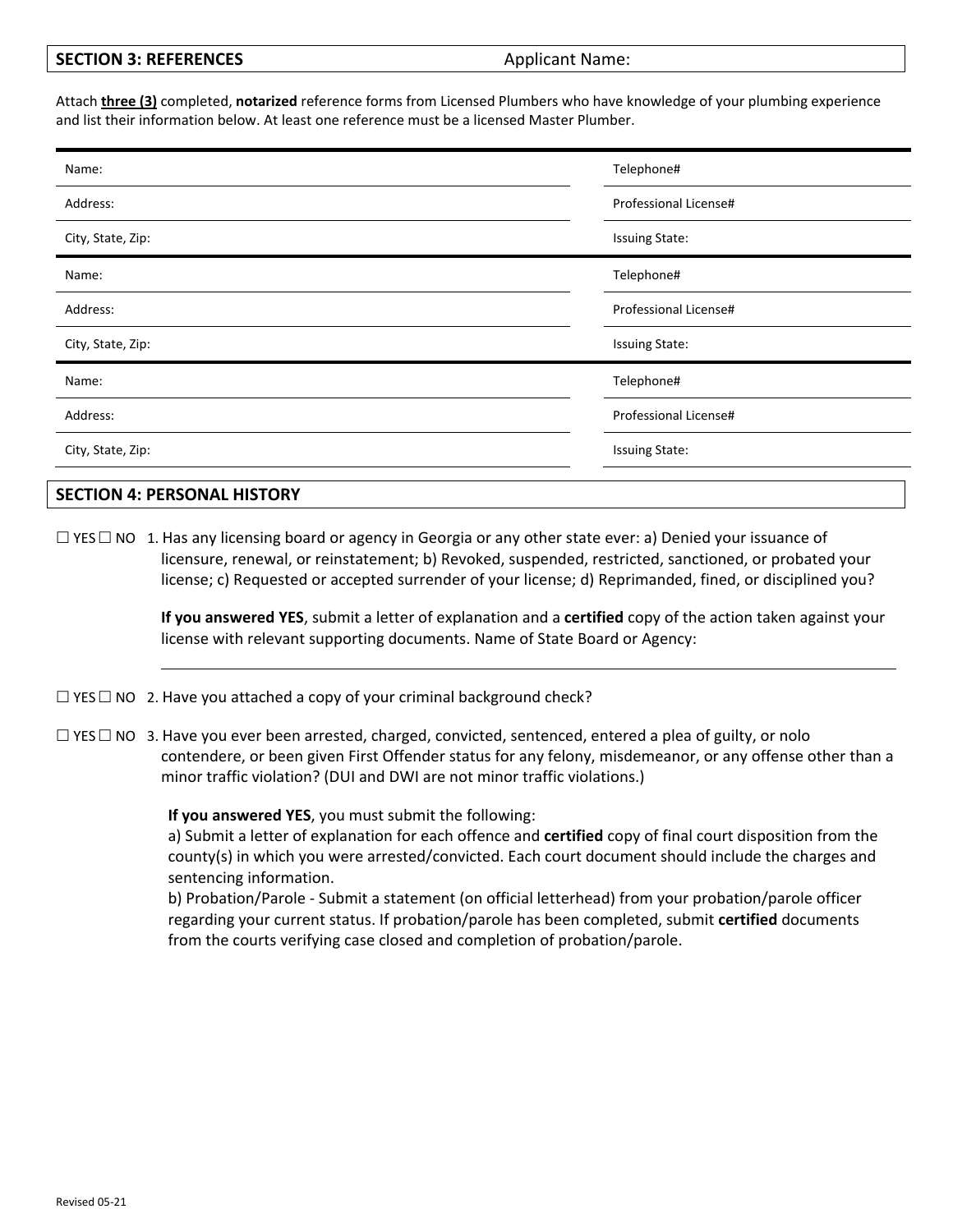| <b>SECTION 3: REFERENCES</b> |
|------------------------------|
|------------------------------|

#### Applicant Name:

Attach **three (3)** completed, **notarized** reference forms from Licensed Plumbers who have knowledge of your plumbing experience and list their information below. At least one reference must be a licensed Master Plumber.

| Name:             | Telephone#            |  |
|-------------------|-----------------------|--|
| Address:          | Professional License# |  |
| City, State, Zip: | <b>Issuing State:</b> |  |
| Name:             | Telephone#            |  |
| Address:          | Professional License# |  |
| City, State, Zip: | <b>Issuing State:</b> |  |
| Name:             | Telephone#            |  |
| Address:          | Professional License# |  |
| City, State, Zip: | <b>Issuing State:</b> |  |
|                   |                       |  |

## **SECTION 4: PERSONAL HISTORY**

 $\Box$  YES  $\Box$  NO 1. Has any licensing board or agency in Georgia or any other state ever: a) Denied your issuance of licensure, renewal, or reinstatement; b) Revoked, suspended, restricted, sanctioned, or probated your license; c) Requested or accepted surrender of your license; d) Reprimanded, fined, or disciplined you?

> **If you answered YES**, submit a letter of explanation and a **certified** copy of the action taken against your license with relevant supporting documents. Name of State Board or Agency:

 $\Box$  YES  $\Box$  NO 2. Have you attached a copy of your criminal background check?

 $\Box$  YES  $\Box$  NO 3. Have you ever been arrested, charged, convicted, sentenced, entered a plea of guilty, or nolo contendere, or been given First Offender status for any felony, misdemeanor, or any offense other than a minor traffic violation? (DUI and DWI are not minor traffic violations.)

**If you answered YES**, you must submit the following:

a) Submit a letter of explanation for each offence and **certified** copy of final court disposition from the county(s) in which you were arrested/convicted. Each court document should include the charges and sentencing information.

b) Probation/Parole ‐ Submit a statement (on official letterhead) from your probation/parole officer regarding your current status. If probation/parole has been completed, submit **certified** documents from the courts verifying case closed and completion of probation/parole.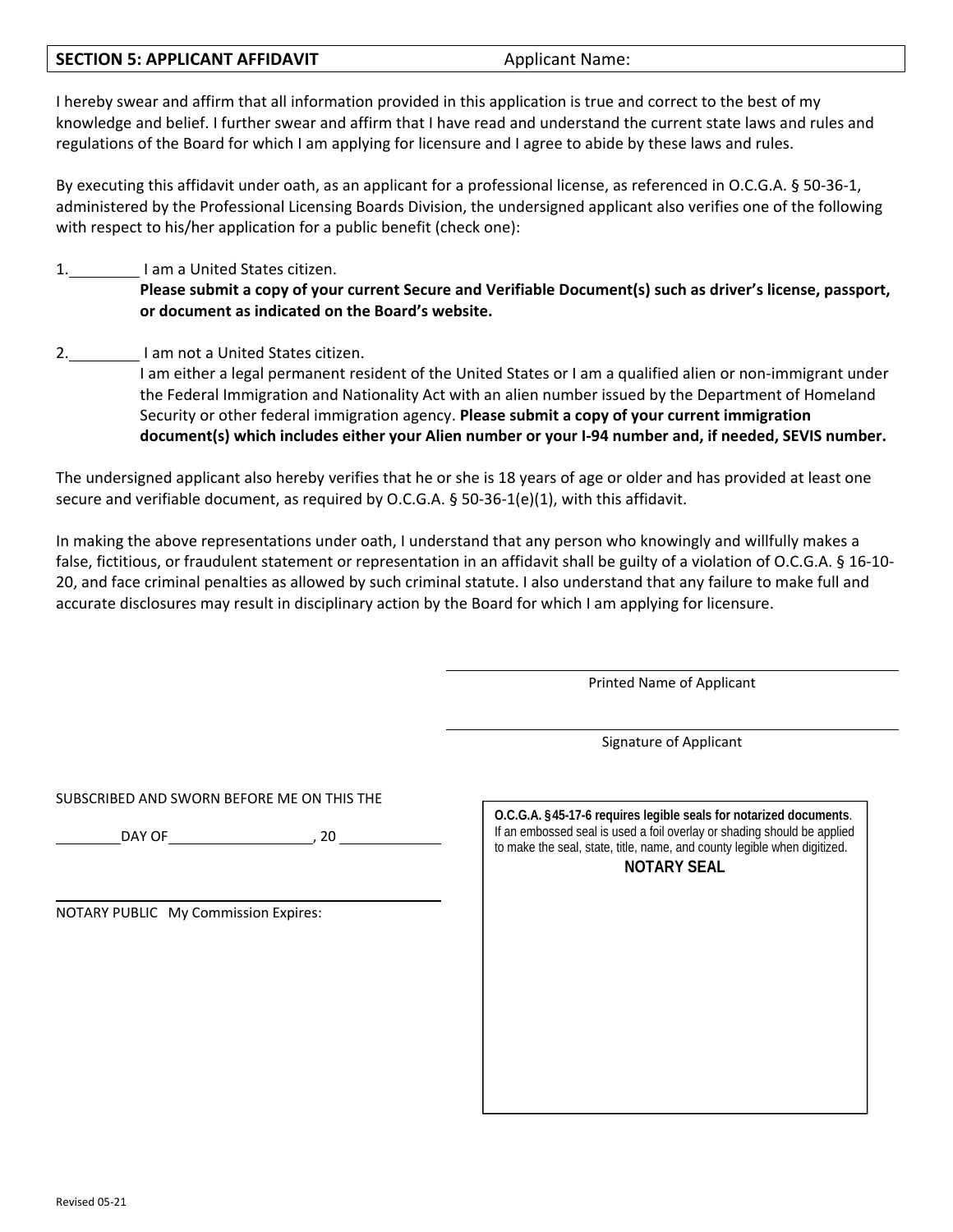#### **SECTION 5: APPLICANT AFFIDAVIT EXECTION 4.4 Applicant Name:**

I hereby swear and affirm that all information provided in this application is true and correct to the best of my knowledge and belief. I further swear and affirm that I have read and understand the current state laws and rules and regulations of the Board for which I am applying for licensure and I agree to abide by these laws and rules.

By executing this affidavit under oath, as an applicant for a professional license, as referenced in O.C.G.A. § 50-36-1, administered by the Professional Licensing Boards Division, the undersigned applicant also verifies one of the following with respect to his/her application for a public benefit (check one):

# 1. I am a United States citizen.

Please submit a copy of your current Secure and Verifiable Document(s) such as driver's license, passport, **or document as indicated on the Board's website.**

2. I am not a United States citizen.

I am either a legal permanent resident of the United States or I am a qualified alien or non‐immigrant under the Federal Immigration and Nationality Act with an alien number issued by the Department of Homeland Security or other federal immigration agency. **Please submit a copy of your current immigration document(s) which includes either your Alien number or your I‐94 number and, if needed, SEVIS number.**

The undersigned applicant also hereby verifies that he or she is 18 years of age or older and has provided at least one secure and verifiable document, as required by O.C.G.A. § 50-36-1(e)(1), with this affidavit.

In making the above representations under oath, I understand that any person who knowingly and willfully makes a false, fictitious, or fraudulent statement or representation in an affidavit shall be guilty of a violation of O.C.G.A. § 16‐10‐ 20, and face criminal penalties as allowed by such criminal statute. I also understand that any failure to make full and accurate disclosures may result in disciplinary action by the Board for which I am applying for licensure.

Printed Name of Applicant

Signature of Applicant

SUBSCRIBED AND SWORN BEFORE ME ON THIS THE

DAY OF PRESSURING THE RESIDENCE OF A SAMPLE STATE OF STATE AND THE RESIDENCE OF A SAMPLE STATE OF A SAMPLE STATE OF A SAMPLE STATE OF A SAMPLE STATE OF A SAMPLE STATE OF A SAMPLE STATE OF A SAMPLE STATE OF A SAMPLE STATE O

NOTARY PUBLIC My Commission Expires:

| O.C.G.A. §45-17-6 requires legible seals for notarized documents.<br>If an embossed seal is used a foil overlay or shading should be applied<br>to make the seal, state, title, name, and county legible when digitized.<br><b>NOTARY SEAL</b> |
|------------------------------------------------------------------------------------------------------------------------------------------------------------------------------------------------------------------------------------------------|
|                                                                                                                                                                                                                                                |
|                                                                                                                                                                                                                                                |
|                                                                                                                                                                                                                                                |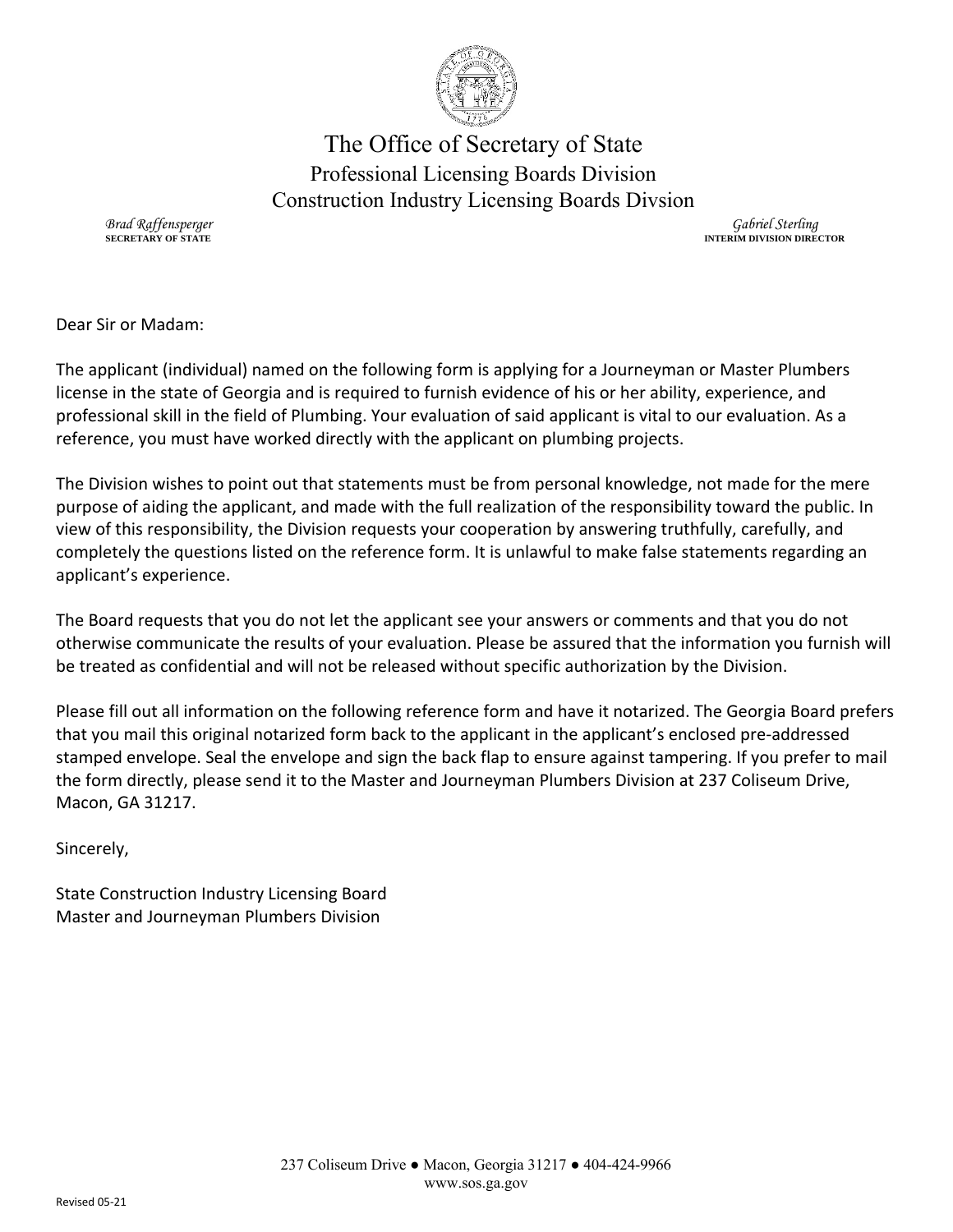

The Office of Secretary of State Professional Licensing Boards Division Construction Industry Licensing Boards Divsion

*Brad Raffensperger* **SECRETARY OF STATE**

*Gabriel Sterling* **INTERIM DIVISION DIRECTOR**

Dear Sir or Madam:

The applicant (individual) named on the following form is applying for a Journeyman or Master Plumbers license in the state of Georgia and is required to furnish evidence of his or her ability, experience, and professional skill in the field of Plumbing. Your evaluation of said applicant is vital to our evaluation. As a reference, you must have worked directly with the applicant on plumbing projects.

The Division wishes to point out that statements must be from personal knowledge, not made for the mere purpose of aiding the applicant, and made with the full realization of the responsibility toward the public. In view of this responsibility, the Division requests your cooperation by answering truthfully, carefully, and completely the questions listed on the reference form. It is unlawful to make false statements regarding an applicant's experience.

The Board requests that you do not let the applicant see your answers or comments and that you do not otherwise communicate the results of your evaluation. Please be assured that the information you furnish will be treated as confidential and will not be released without specific authorization by the Division.

Please fill out all information on the following reference form and have it notarized. The Georgia Board prefers that you mail this original notarized form back to the applicant in the applicant's enclosed pre‐addressed stamped envelope. Seal the envelope and sign the back flap to ensure against tampering. If you prefer to mail the form directly, please send it to the Master and Journeyman Plumbers Division at 237 Coliseum Drive, Macon, GA 31217.

Sincerely,

State Construction Industry Licensing Board Master and Journeyman Plumbers Division